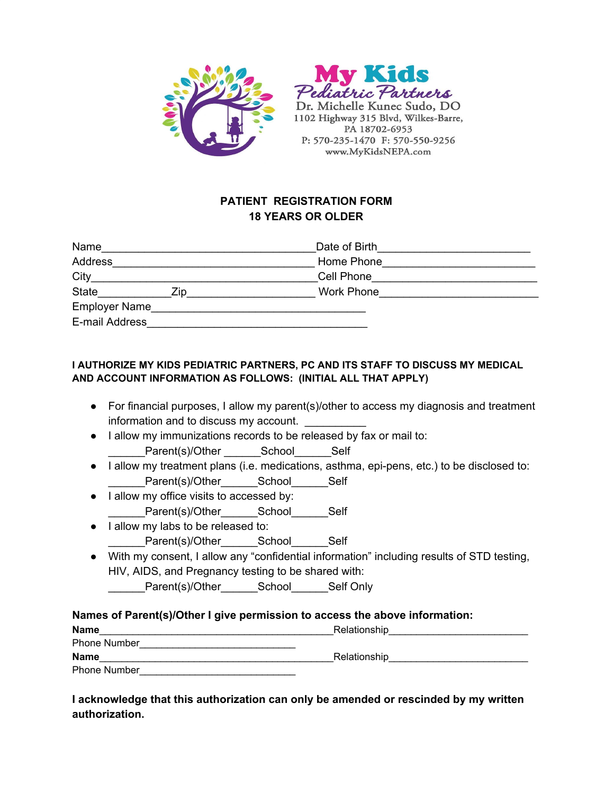



1102 Highway 315 Blvd, Wilkes-Barre, PA 18702-6953 P: 570-235-1470 F: 570-550-9256 www.MyKidsNEPA.com

# **PATIENT REGISTRATION FORM 18 YEARS OR OLDER**

| Name                 |     | Date of Birth     |  |
|----------------------|-----|-------------------|--|
| Address              |     | Home Phone        |  |
| City                 |     | Cell Phone        |  |
| <b>State</b>         | ∕in | <b>Work Phone</b> |  |
| <b>Employer Name</b> |     |                   |  |
| E-mail Address       |     |                   |  |

## **I AUTHORIZE MY KIDS PEDIATRIC PARTNERS, PC AND ITS STAFF TO DISCUSS MY MEDICAL AND ACCOUNT INFORMATION AS FOLLOWS: (INITIAL ALL THAT APPLY)**

- For financial purposes, I allow my parent(s)/other to access my diagnosis and treatment information and to discuss my account.
- I allow my immunizations records to be released by fax or mail to: Parent(s)/Other School Self
- I allow my treatment plans (i.e. medications, asthma, epi-pens, etc.) to be disclosed to: Parent(s)/Other School Self
- I allow my office visits to accessed by: Parent(s)/Other School Self
- I allow my labs to be released to: Parent(s)/Other\_\_\_\_\_\_\_School\_\_\_\_\_\_\_Self
- With my consent, I allow any "confidential information" including results of STD testing, HIV, AIDS, and Pregnancy testing to be shared with:

Parent(s)/Other School Self Only

## **Names of Parent(s)/Other I give permission to access the above information:**

| <b>Name</b>         | Relationship |
|---------------------|--------------|
| <b>Phone Number</b> |              |
| <b>Name</b>         | Relationship |
| <b>Phone Number</b> |              |

# **I acknowledge that this authorization can only be amended or rescinded by my written authorization.**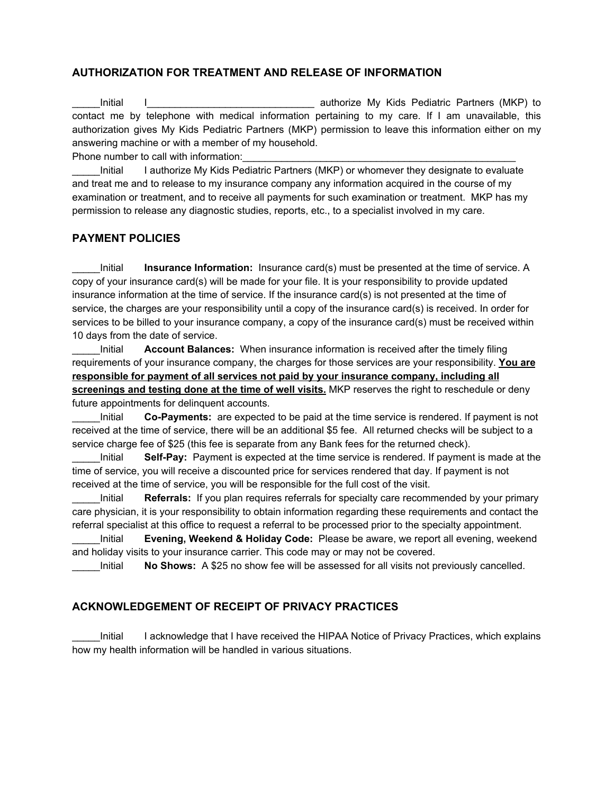### **AUTHORIZATION FOR TREATMENT AND RELEASE OF INFORMATION**

Initial I contract in the second vertex of the surface My Kids Pediatric Partners (MKP) to contact me by telephone with medical information pertaining to my care. If I am unavailable, this authorization gives My Kids Pediatric Partners (MKP) permission to leave this information either on my answering machine or with a member of my household.

Phone number to call with information:

Initial I authorize My Kids Pediatric Partners (MKP) or whomever they designate to evaluate and treat me and to release to my insurance company any information acquired in the course of my examination or treatment, and to receive all payments for such examination or treatment. MKP has my permission to release any diagnostic studies, reports, etc., to a specialist involved in my care.

#### **PAYMENT POLICIES**

Initial **Insurance Information:** Insurance card(s) must be presented at the time of service. A copy of your insurance card(s) will be made for your file. It is your responsibility to provide updated insurance information at the time of service. If the insurance card(s) is not presented at the time of service, the charges are your responsibility until a copy of the insurance card(s) is received. In order for services to be billed to your insurance company, a copy of the insurance card(s) must be received within 10 days from the date of service.

\_\_\_\_\_Initial **Account Balances:** When insurance information is received after the timely filing requirements of your insurance company, the charges for those services are your responsibility. **You are responsible for payment of all services not paid by your insurance company, including all screenings and testing done at the time of well visits.** MKP reserves the right to reschedule or deny future appointments for delinquent accounts.

\_\_\_\_\_Initial **Co-Payments:** are expected to be paid at the time service is rendered. If payment is not received at the time of service, there will be an additional \$5 fee. All returned checks will be subject to a service charge fee of \$25 (this fee is separate from any Bank fees for the returned check).

\_\_\_\_\_Initial **Self-Pay:** Payment is expected at the time service is rendered. If payment is made at the time of service, you will receive a discounted price for services rendered that day. If payment is not received at the time of service, you will be responsible for the full cost of the visit.

Initial **Referrals:** If you plan requires referrals for specialty care recommended by your primary care physician, it is your responsibility to obtain information regarding these requirements and contact the referral specialist at this office to request a referral to be processed prior to the specialty appointment.

\_\_\_\_\_Initial **Evening, Weekend & Holiday Code:** Please be aware, we report all evening, weekend and holiday visits to your insurance carrier. This code may or may not be covered.

\_\_\_\_\_Initial **No Shows:** A \$25 no show fee will be assessed for all visits not previously cancelled.

### **ACKNOWLEDGEMENT OF RECEIPT OF PRIVACY PRACTICES**

Initial I acknowledge that I have received the HIPAA Notice of Privacy Practices, which explains how my health information will be handled in various situations.